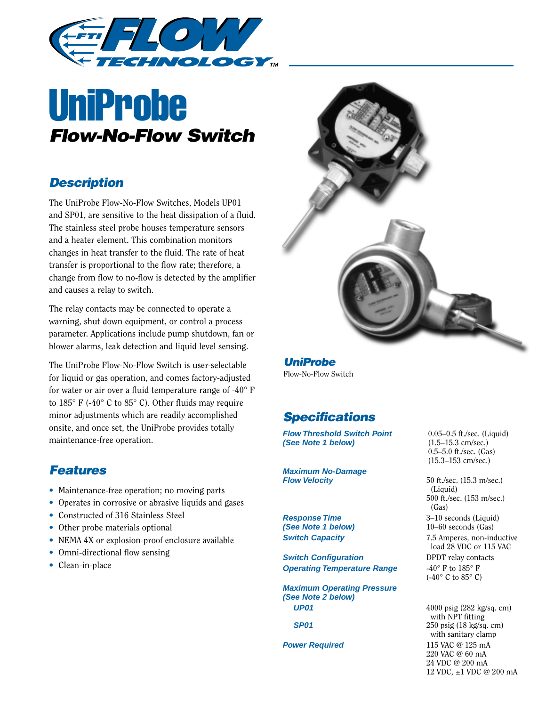

# UniProbe *Flow-No-Flow Switch*

#### *Description*

The UniProbe Flow-No-Flow Switches, Models UP01 and SP01, are sensitive to the heat dissipation of a fluid. The stainless steel probe houses temperature sensors and a heater element. This combination monitors changes in heat transfer to the fluid. The rate of heat transfer is proportional to the flow rate; therefore, a change from flow to no-flow is detected by the amplifier and causes a relay to switch.

The relay contacts may be connected to operate a warning, shut down equipment, or control a process parameter. Applications include pump shutdown, fan or blower alarms, leak detection and liquid level sensing.

The UniProbe Flow-No-Flow Switch is user-selectable for liquid or gas operation, and comes factory-adjusted for water or air over a fluid temperature range of  $-40^{\circ}$  F to 185° F (-40° C to 85° C). Other fluids may require minor adjustments which are readily accomplished onsite, and once set, the UniProbe provides totally maintenance-free operation.

## *Features*

- Maintenance-free operation; no moving parts
- Operates in corrosive or abrasive liquids and gases
- Constructed of 316 Stainless Steel
- Other probe materials optional
- NEMA 4X or explosion-proof enclosure available
- Omni-directional flow sensing
- Clean-in-place



*UniProbe* Flow-No-Flow Switch

### *Specifications*

**Flow Threshold Switch Point** 0.05–0.5 ft./sec. (Liquid) (See Note 1 below)  $(1.5-15.3 \text{ cm/sec.})$ **(See Note 1 below)** 

**Maximum No-Damage Flow Velocity** 50 ft./sec. (15.3 m/sec.)

**(See Note 1 below)** 10–60 seconds (Gas)

**Switch Configuration** DPDT relay contacts **Operating Temperature Range**  $-40^{\circ}$  F to  $185^{\circ}$  F

**Maximum Operating Pressure (See Note 2 below) UP01** 4000 psig (282 kg/sq. cm)

0.5–5.0 ft./sec. (Gas) (15.3–153 cm/sec.)

(Liquid) 500 ft./sec. (153 m/sec.) (Gas) **Response Time** 3–10 seconds (Liquid) **Switch Capacity** 7.5 Amperes, non-inductive load 28 VDC or 115 VAC (-40 $\degree$  C to 85 $\degree$  C)

with NPT fitting **SP01** 250 psig (18 kg/sq. cm) with sanitary clamp **Power Required** 115 VAC @ 125 mA 220 VAC @ 60 mA 24 VDC @ 200 mA 12 VDC, ±1 VDC @ 200 mA